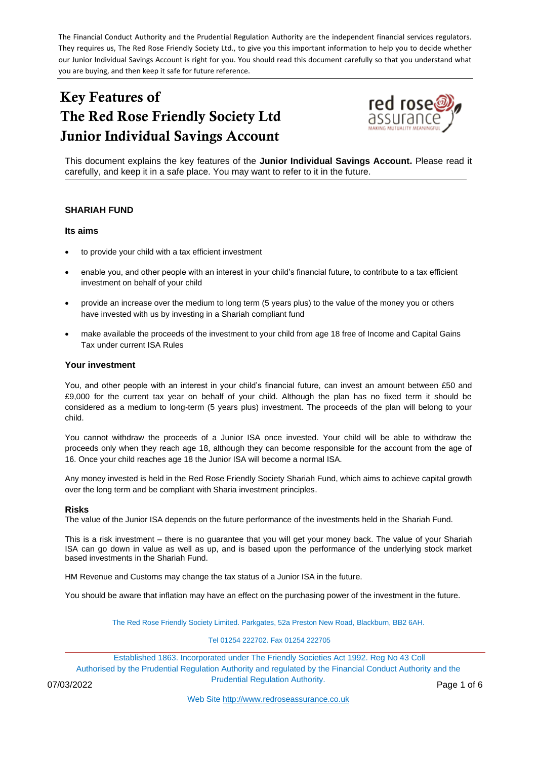The Financial Conduct Authority and the Prudential Regulation Authority are the independent financial services regulators. They requires us, The Red Rose Friendly Society Ltd., to give you this important information to help you to decide whether our Junior Individual Savings Account is right for you. You should read this document carefully so that you understand what you are buying, and then keep it safe for future reference.

# Key Features of The Red Rose Friendly Society Ltd Junior Individual Savings Account



This document explains the key features of the **Junior Individual Savings Account.** Please read it carefully, and keep it in a safe place. You may want to refer to it in the future.

### **SHARIAH FUND**

#### **Its aims**

- to provide your child with a tax efficient investment
- enable you, and other people with an interest in your child's financial future, to contribute to a tax efficient investment on behalf of your child
- provide an increase over the medium to long term (5 years plus) to the value of the money you or others have invested with us by investing in a Shariah compliant fund
- make available the proceeds of the investment to your child from age 18 free of Income and Capital Gains Tax under current ISA Rules

#### **Your investment**

You, and other people with an interest in your child's financial future, can invest an amount between £50 and £9,000 for the current tax year on behalf of your child. Although the plan has no fixed term it should be considered as a medium to long-term (5 years plus) investment. The proceeds of the plan will belong to your child.

You cannot withdraw the proceeds of a Junior ISA once invested. Your child will be able to withdraw the proceeds only when they reach age 18, although they can become responsible for the account from the age of 16. Once your child reaches age 18 the Junior ISA will become a normal ISA.

Any money invested is held in the Red Rose Friendly Society Shariah Fund, which aims to achieve capital growth over the long term and be compliant with Sharia investment principles.

#### **Risks**

The value of the Junior ISA depends on the future performance of the investments held in the Shariah Fund.

This is a risk investment – there is no guarantee that you will get your money back. The value of your Shariah ISA can go down in value as well as up, and is based upon the performance of the underlying stock market based investments in the Shariah Fund.

HM Revenue and Customs may change the tax status of a Junior ISA in the future.

You should be aware that inflation may have an effect on the purchasing power of the investment in the future.

The Red Rose Friendly Society Limited. Parkgates, 52a Preston New Road, Blackburn, BB2 6AH.

#### Tel 01254 222702. Fax 01254 222705

Established 1863. Incorporated under The Friendly Societies Act 1992. Reg No 43 Coll Authorised by the Prudential Regulation Authority and regulated by the Financial Conduct Authority and the Prudential Regulation Authority. 07/03/2022 Page 1 of 6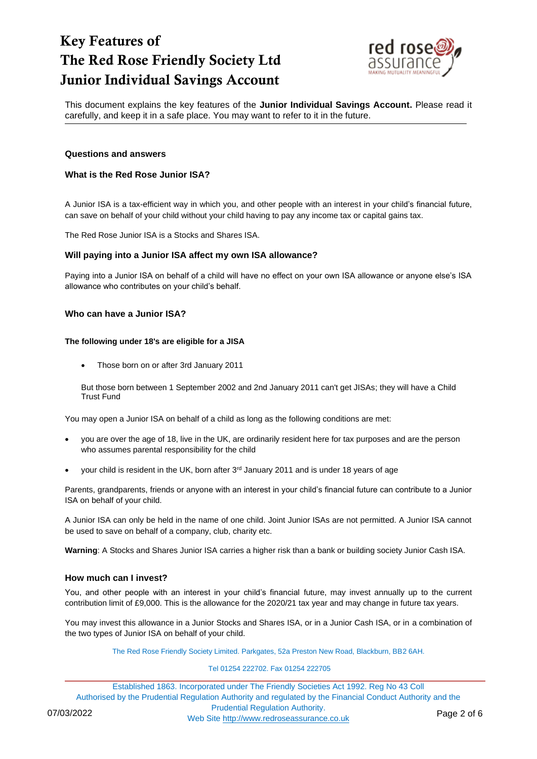

This document explains the key features of the **Junior Individual Savings Account.** Please read it carefully, and keep it in a safe place. You may want to refer to it in the future.

#### **Questions and answers**

### **What is the Red Rose Junior ISA?**

A Junior ISA is a tax-efficient way in which you, and other people with an interest in your child's financial future, can save on behalf of your child without your child having to pay any income tax or capital gains tax.

The Red Rose Junior ISA is a Stocks and Shares ISA.

#### **Will paying into a Junior ISA affect my own ISA allowance?**

Paying into a Junior ISA on behalf of a child will have no effect on your own ISA allowance or anyone else's ISA allowance who contributes on your child's behalf.

#### **Who can have a Junior ISA?**

#### **The following under 18's are eligible for a JISA**

• Those born on or after 3rd January 2011

But those born between 1 September 2002 and 2nd January 2011 can't get JISAs; they will have a Child Trust Fund

You may open a Junior ISA on behalf of a child as long as the following conditions are met:

- you are over the age of 18, live in the UK, are ordinarily resident here for tax purposes and are the person who assumes parental responsibility for the child
- your child is resident in the UK, born after  $3<sup>rd</sup>$  January 2011 and is under 18 years of age

Parents, grandparents, friends or anyone with an interest in your child's financial future can contribute to a Junior ISA on behalf of your child.

A Junior ISA can only be held in the name of one child. Joint Junior ISAs are not permitted. A Junior ISA cannot be used to save on behalf of a company, club, charity etc.

**Warning**: A Stocks and Shares Junior ISA carries a higher risk than a bank or building society Junior Cash ISA.

#### **How much can I invest?**

You, and other people with an interest in your child's financial future, may invest annually up to the current contribution limit of £9,000. This is the allowance for the 2020/21 tax year and may change in future tax years.

You may invest this allowance in a Junior Stocks and Shares ISA, or in a Junior Cash ISA, or in a combination of the two types of Junior ISA on behalf of your child.

The Red Rose Friendly Society Limited. Parkgates, 52a Preston New Road, Blackburn, BB2 6AH.

#### Tel 01254 222702. Fax 01254 222705

Established 1863. Incorporated under The Friendly Societies Act 1992. Reg No 43 Coll Authorised by the Prudential Regulation Authority and regulated by the Financial Conduct Authority and the Prudential Regulation Authority. 07/03/2022<br>Web Site [http://www.redroseassurance.co.uk](http://www.redroseassurance.co.uk/) Page 2 of 6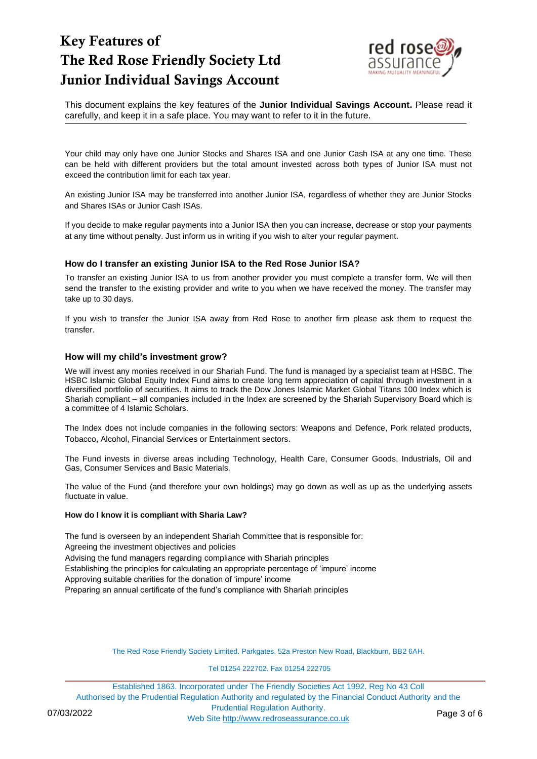

This document explains the key features of the **Junior Individual Savings Account.** Please read it carefully, and keep it in a safe place. You may want to refer to it in the future.

Your child may only have one Junior Stocks and Shares ISA and one Junior Cash ISA at any one time. These can be held with different providers but the total amount invested across both types of Junior ISA must not exceed the contribution limit for each tax year.

An existing Junior ISA may be transferred into another Junior ISA, regardless of whether they are Junior Stocks and Shares ISAs or Junior Cash ISAs.

If you decide to make regular payments into a Junior ISA then you can increase, decrease or stop your payments at any time without penalty. Just inform us in writing if you wish to alter your regular payment.

### **How do I transfer an existing Junior ISA to the Red Rose Junior ISA?**

To transfer an existing Junior ISA to us from another provider you must complete a transfer form. We will then send the transfer to the existing provider and write to you when we have received the money. The transfer may take up to 30 days.

If you wish to transfer the Junior ISA away from Red Rose to another firm please ask them to request the transfer.

### **How will my child's investment grow?**

We will invest any monies received in our Shariah Fund. The fund is managed by a specialist team at HSBC. The HSBC Islamic Global Equity Index Fund aims to create long term appreciation of capital through investment in a diversified portfolio of securities. It aims to track the Dow Jones Islamic Market Global Titans 100 Index which is Shariah compliant – all companies included in the Index are screened by the Shariah Supervisory Board which is a committee of 4 Islamic Scholars.

The Index does not include companies in the following sectors: Weapons and Defence, Pork related products, Tobacco, Alcohol, Financial Services or Entertainment sectors.

The Fund invests in diverse areas including Technology, Health Care, Consumer Goods, Industrials, Oil and Gas, Consumer Services and Basic Materials.

The value of the Fund (and therefore your own holdings) may go down as well as up as the underlying assets fluctuate in value.

#### **How do I know it is compliant with Sharia Law?**

The fund is overseen by an independent Shariah Committee that is responsible for: Agreeing the investment objectives and policies Advising the fund managers regarding compliance with Shariah principles Establishing the principles for calculating an appropriate percentage of 'impure' income Approving suitable charities for the donation of 'impure' income Preparing an annual certificate of the fund's compliance with Shariah principles

The Red Rose Friendly Society Limited. Parkgates, 52a Preston New Road, Blackburn, BB2 6AH.

Tel 01254 222702. Fax 01254 222705

Established 1863. Incorporated under The Friendly Societies Act 1992. Reg No 43 Coll Authorised by the Prudential Regulation Authority and regulated by the Financial Conduct Authority and the Prudential Regulation Authority. 07/03/2022<br>Web Site [http://www.redroseassurance.co.uk](http://www.redroseassurance.co.uk/) Page 3 of 6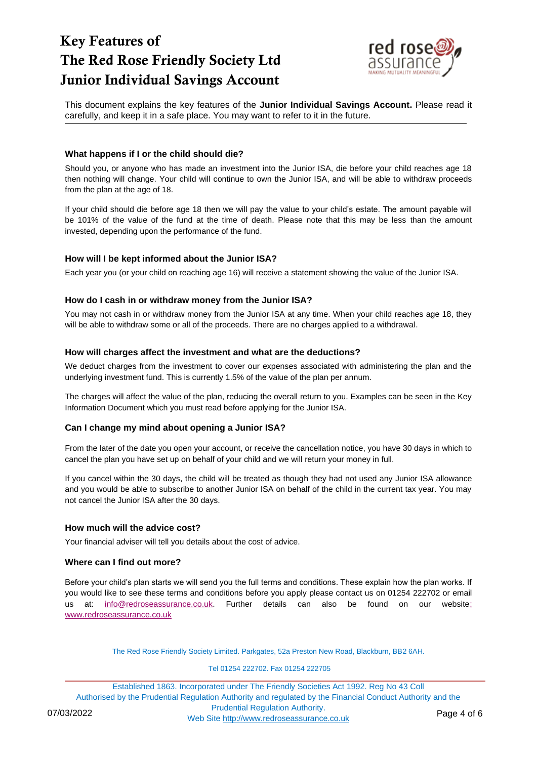

This document explains the key features of the **Junior Individual Savings Account.** Please read it carefully, and keep it in a safe place. You may want to refer to it in the future.

### **What happens if I or the child should die?**

Should you, or anyone who has made an investment into the Junior ISA, die before your child reaches age 18 then nothing will change. Your child will continue to own the Junior ISA, and will be able to withdraw proceeds from the plan at the age of 18.

If your child should die before age 18 then we will pay the value to your child's estate. The amount payable will be 101% of the value of the fund at the time of death. Please note that this may be less than the amount invested, depending upon the performance of the fund.

### **How will I be kept informed about the Junior ISA?**

Each year you (or your child on reaching age 16) will receive a statement showing the value of the Junior ISA.

### **How do I cash in or withdraw money from the Junior ISA?**

You may not cash in or withdraw money from the Junior ISA at any time. When your child reaches age 18, they will be able to withdraw some or all of the proceeds. There are no charges applied to a withdrawal.

### **How will charges affect the investment and what are the deductions?**

We deduct charges from the investment to cover our expenses associated with administering the plan and the underlying investment fund. This is currently 1.5% of the value of the plan per annum.

The charges will affect the value of the plan, reducing the overall return to you. Examples can be seen in the Key Information Document which you must read before applying for the Junior ISA.

### **Can I change my mind about opening a Junior ISA?**

From the later of the date you open your account, or receive the cancellation notice, you have 30 days in which to cancel the plan you have set up on behalf of your child and we will return your money in full.

If you cancel within the 30 days, the child will be treated as though they had not used any Junior ISA allowance and you would be able to subscribe to another Junior ISA on behalf of the child in the current tax year. You may not cancel the Junior ISA after the 30 days.

### **How much will the advice cost?**

Your financial adviser will tell you details about the cost of advice.

### **Where can I find out more?**

Before your child's plan starts we will send you the full terms and conditions. These explain how the plan works. If you would like to see these terms and conditions before you apply please contact us on 01254 222702 or email us at: [info@redroseassurance.co.uk.](mailto:info@redroseassurance.co.uk) Further details can also be found on our website: [www.redroseassurance.co.uk](http://www.redroseassurance.co.uk/)

The Red Rose Friendly Society Limited. Parkgates, 52a Preston New Road, Blackburn, BB2 6AH.

#### Tel 01254 222702. Fax 01254 222705

Established 1863. Incorporated under The Friendly Societies Act 1992. Reg No 43 Coll Authorised by the Prudential Regulation Authority and regulated by the Financial Conduct Authority and the Prudential Regulation Authority. 07/03/2022<br>Web Site [http://www.redroseassurance.co.uk](http://www.redroseassurance.co.uk/) Page 4 of 6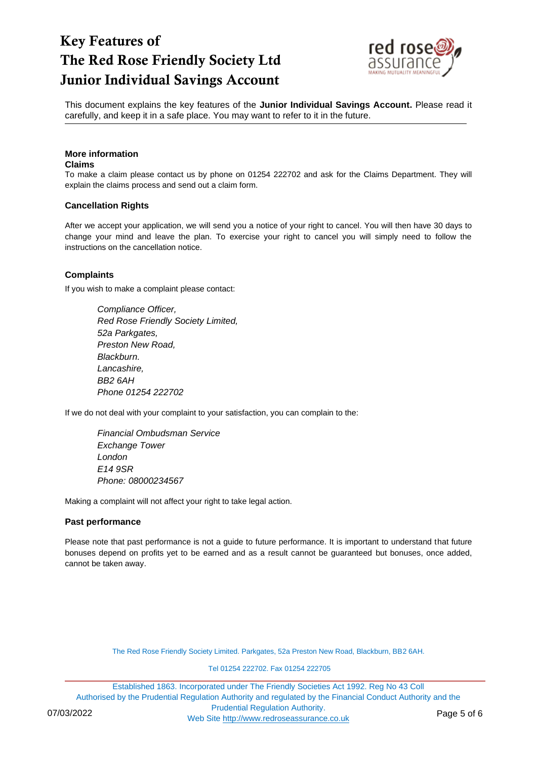

This document explains the key features of the **Junior Individual Savings Account.** Please read it carefully, and keep it in a safe place. You may want to refer to it in the future.

# **More information**

### **Claims**

To make a claim please contact us by phone on 01254 222702 and ask for the Claims Department. They will explain the claims process and send out a claim form.

### **Cancellation Rights**

After we accept your application, we will send you a notice of your right to cancel. You will then have 30 days to change your mind and leave the plan. To exercise your right to cancel you will simply need to follow the instructions on the cancellation notice.

# **Complaints**

If you wish to make a complaint please contact:

*Compliance Officer, Red Rose Friendly Society Limited, 52a Parkgates, Preston New Road, Blackburn. Lancashire, BB2 6AH Phone 01254 222702*

If we do not deal with your complaint to your satisfaction, you can complain to the:

*Financial Ombudsman Service Exchange Tower London E14 9SR Phone: 08000234567*

Making a complaint will not affect your right to take legal action.

### **Past performance**

Please note that past performance is not a guide to future performance. It is important to understand that future bonuses depend on profits yet to be earned and as a result cannot be guaranteed but bonuses, once added, cannot be taken away.

The Red Rose Friendly Society Limited. Parkgates, 52a Preston New Road, Blackburn, BB2 6AH.

Tel 01254 222702. Fax 01254 222705

Established 1863. Incorporated under The Friendly Societies Act 1992. Reg No 43 Coll Authorised by the Prudential Regulation Authority and regulated by the Financial Conduct Authority and the Prudential Regulation Authority. 07/03/2022<br>Web Site [http://www.redroseassurance.co.uk](http://www.redroseassurance.co.uk/) Page 5 of 6